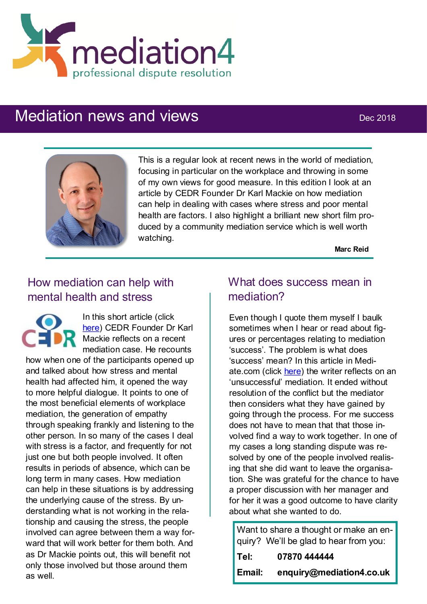

# Mediation news and views Dec 2018



This is a regular look at recent news in the world of mediation, focusing in particular on the workplace and throwing in some of my own views for good measure. In this edition I look at an article by CEDR Founder Dr Karl Mackie on how mediation can help in dealing with cases where stress and poor mental health are factors. I also highlight a brilliant new short film produced by a community mediation service which is well worth watching.

**Marc Reid**

# How mediation can help with mental health and stress

In this short article (click [here\)](https://insights.cedr.com/post/102f5ph/mental-health-and-stress-how-mediation-can-help) CEDR Founder Dr Karl Mackie reflects on a recent mediation case. He recounts

how when one of the participants opened up and talked about how stress and mental health had affected him, it opened the way to more helpful dialogue. It points to one of the most beneficial elements of workplace mediation, the generation of empathy through speaking frankly and listening to the other person. In so many of the cases I deal with stress is a factor, and frequently for not just one but both people involved. It often results in periods of absence, which can be long term in many cases. How mediation can help in these situations is by addressing the underlying cause of the stress. By understanding what is not working in the relationship and causing the stress, the people involved can agree between them a way forward that will work better for them both. And as Dr Mackie points out, this will benefit not only those involved but those around them as well.

### What does success mean in mediation?

Even though I quote them myself I baulk sometimes when I hear or read about figures or percentages relating to mediation 'success'. The problem is what does 'success' mean? In this article in Mediate.com (click [here\)](https://www.mediate.com/articles/shuger-mediation-failed.cfm) the writer reflects on an 'unsuccessful' mediation. It ended without resolution of the conflict but the mediator then considers what they have gained by going through the process. For me success does not have to mean that that those involved find a way to work together. In one of my cases a long standing dispute was resolved by one of the people involved realising that she did want to leave the organisation. She was grateful for the chance to have a proper discussion with her manager and for her it was a good outcome to have clarity about what she wanted to do.

Want to share a thought or make an enquiry? We'll be glad to hear from you: **Tel: 07870 444444 Email: enquiry@mediation4.co.uk**